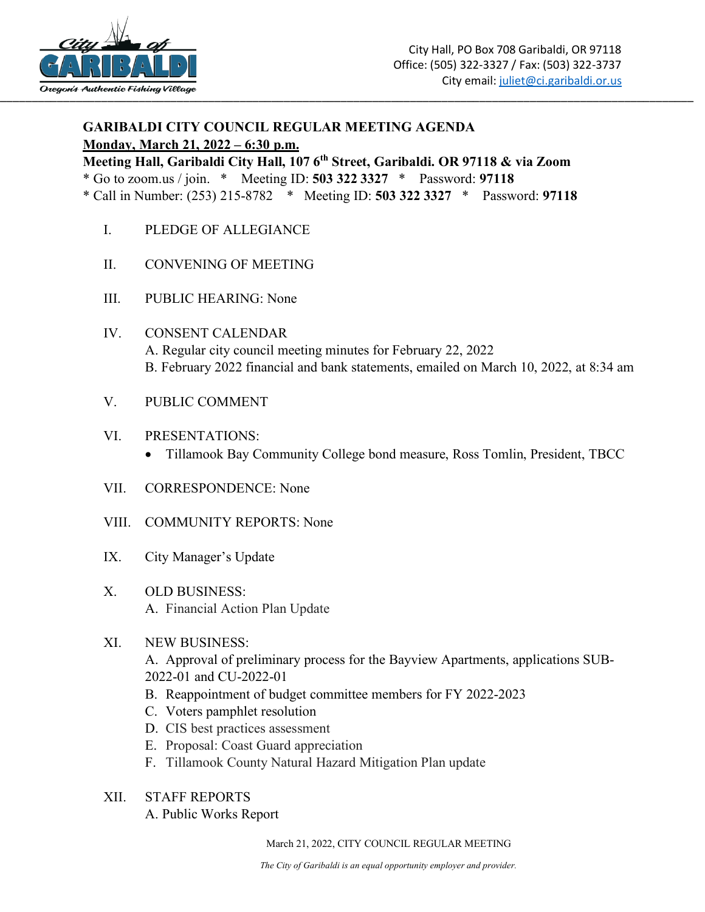

## **GARIBALDI CITY COUNCIL REGULAR MEETING AGENDA Monday, March 21, 2022 – 6:30 p.m.**

**Meeting Hall, Garibaldi City Hall, 107 6th Street, Garibaldi. OR 97118 & via Zoom**

\* Go to zoom.us / join. \* Meeting ID: **503 322 3327** \* Password: **97118**

- \* Call in Number: (253) 215-8782 \* Meeting ID: **503 322 3327** \* Password: **97118**
	- I. PLEDGE OF ALLEGIANCE
	- II. CONVENING OF MEETING
	- III. PUBLIC HEARING: None
	- IV. CONSENT CALENDAR A. Regular city council meeting minutes for February 22, 2022 B. February 2022 financial and bank statements, emailed on March 10, 2022, at 8:34 am
	- V. PUBLIC COMMENT
	- VI. PRESENTATIONS:
		- Tillamook Bay Community College bond measure, Ross Tomlin, President, TBCC
	- VII. CORRESPONDENCE: None
	- VIII. COMMUNITY REPORTS: None
	- IX. City Manager's Update
	- X. OLD BUSINESS: A. Financial Action Plan Update
	- XI. NEW BUSINESS: A. Approval of preliminary process for the Bayview Apartments, applications SUB-2022-01 and CU-2022-01
		- B. Reappointment of budget committee members for FY 2022-2023
		- C. Voters pamphlet resolution
		- D. CIS best practices assessment
		- E. Proposal: Coast Guard appreciation
		- F. Tillamook County Natural Hazard Mitigation Plan update
	- XII. STAFF REPORTS
		- A. Public Works Report

March 21, 2022, CITY COUNCIL REGULAR MEETING